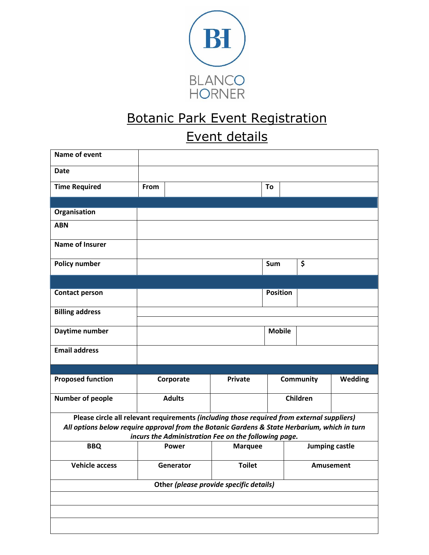

## Botanic Park Event Registration

## Event details

| <b>Name of event</b>                                                                         |                                                                                            |                |                 |                             |                       |  |  |
|----------------------------------------------------------------------------------------------|--------------------------------------------------------------------------------------------|----------------|-----------------|-----------------------------|-----------------------|--|--|
| <b>Date</b>                                                                                  |                                                                                            |                |                 |                             |                       |  |  |
| <b>Time Required</b>                                                                         | From                                                                                       |                | To              |                             |                       |  |  |
|                                                                                              |                                                                                            |                |                 |                             |                       |  |  |
| Organisation                                                                                 |                                                                                            |                |                 |                             |                       |  |  |
| <b>ABN</b>                                                                                   |                                                                                            |                |                 |                             |                       |  |  |
| <b>Name of Insurer</b>                                                                       |                                                                                            |                |                 |                             |                       |  |  |
| <b>Policy number</b>                                                                         |                                                                                            |                | Sum             | \$                          |                       |  |  |
|                                                                                              |                                                                                            |                |                 |                             |                       |  |  |
| <b>Contact person</b>                                                                        |                                                                                            |                | <b>Position</b> |                             |                       |  |  |
| <b>Billing address</b>                                                                       |                                                                                            |                |                 |                             |                       |  |  |
|                                                                                              |                                                                                            |                |                 |                             |                       |  |  |
| Daytime number                                                                               |                                                                                            |                | <b>Mobile</b>   |                             |                       |  |  |
| <b>Email address</b>                                                                         |                                                                                            |                |                 |                             |                       |  |  |
|                                                                                              |                                                                                            |                |                 |                             |                       |  |  |
| <b>Proposed function</b>                                                                     | Corporate                                                                                  | <b>Private</b> |                 | <b>Community</b><br>Wedding |                       |  |  |
| <b>Number of people</b>                                                                      | <b>Adults</b>                                                                              |                |                 | Children                    |                       |  |  |
|                                                                                              | Please circle all relevant requirements (including those required from external suppliers) |                |                 |                             |                       |  |  |
| All options below require approval from the Botanic Gardens & State Herbarium, which in turn |                                                                                            |                |                 |                             |                       |  |  |
|                                                                                              | incurs the Administration Fee on the following page.                                       |                |                 |                             |                       |  |  |
| <b>BBQ</b>                                                                                   | Power                                                                                      | <b>Marquee</b> |                 |                             | <b>Jumping castle</b> |  |  |
| <b>Vehicle access</b>                                                                        | Generator                                                                                  | Toilet         |                 | <b>Amusement</b>            |                       |  |  |
| Other (please provide specific details)                                                      |                                                                                            |                |                 |                             |                       |  |  |
|                                                                                              |                                                                                            |                |                 |                             |                       |  |  |
|                                                                                              |                                                                                            |                |                 |                             |                       |  |  |
|                                                                                              |                                                                                            |                |                 |                             |                       |  |  |
|                                                                                              |                                                                                            |                |                 |                             |                       |  |  |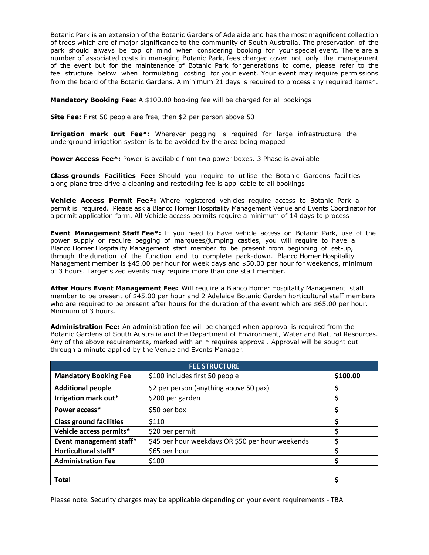Botanic Park is an extension of the Botanic Gardens of Adelaide and has the most magnificent collection of trees which are of major significance to the community of South Australia. The preservation of the park should always be top of mind when considering booking for your special event. There are a number of associated costs in managing Botanic Park, fees charged cover not only the management of the event but for the maintenance of Botanic Park for generations to come, please refer to the fee structure below when formulating costing for your event. Your event may require permissions from the board of the Botanic Gardens. A minimum 21 days is required to process any required items\*.

**Mandatory Booking Fee:** A \$100.00 booking fee will be charged for all bookings

**Site Fee:** First 50 people are free, then \$2 per person above 50

**Irrigation mark out Fee\*:** Wherever pegging is required for large infrastructure the underground irrigation system is to be avoided by the area being mapped

**Power Access Fee\*:** Power is available from two power boxes. 3 Phase is available

**Class grounds Facilities Fee:** Should you require to utilise the Botanic Gardens facilities along plane tree drive a cleaning and restocking fee is applicable to all bookings

**Vehicle Access Permit Fee\*:** Where registered vehicles require access to Botanic Park a permit is required. Please ask a Blanco Horner Hospitality Management Venue and Events Coordinator for a permit application form. All Vehicle access permits require a minimum of 14 days to process

**Event Management Staff Fee\*:** If you need to have vehicle access on Botanic Park, use of the power supply or require pegging of marquees/jumping castles, you will require to have a Blanco Horner Hospitality Management staff member to be present from beginning of set-up, through the duration of the function and to complete pack-down. Blanco Horner Hospitality Management member is \$45.00 per hour for week days and \$50.00 per hour for weekends, minimum of 3 hours. Larger sized events may require more than one staff member.

**After Hours Event Management Fee:** Will require a Blanco Horner Hospitality Management staff member to be present of \$45.00 per hour and 2 Adelaide Botanic Garden horticultural staff members who are required to be present after hours for the duration of the event which are \$65.00 per hour. Minimum of 3 hours.

**Administration Fee:** An administration fee will be charged when approval is required from the Botanic Gardens of South Australia and the Department of Environment, Water and Natural Resources. Any of the above requirements, marked with an  $*$  requires approval. Approval will be sought out through a minute applied by the Venue and Events Manager.

| <b>FEE STRUCTURE</b>           |                                                  |          |  |  |  |
|--------------------------------|--------------------------------------------------|----------|--|--|--|
| <b>Mandatory Booking Fee</b>   | \$100 includes first 50 people                   | \$100.00 |  |  |  |
| <b>Additional people</b>       | \$2 per person (anything above 50 pax)           |          |  |  |  |
| Irrigation mark out*           | \$200 per garden                                 | \$       |  |  |  |
| Power access*                  | \$50 per box                                     | \$       |  |  |  |
| <b>Class ground facilities</b> | \$110                                            | S        |  |  |  |
| Vehicle access permits*        | \$20 per permit                                  |          |  |  |  |
| Event management staff*        | \$45 per hour weekdays OR \$50 per hour weekends |          |  |  |  |
| Horticultural staff*           | \$65 per hour                                    |          |  |  |  |
| <b>Administration Fee</b>      | \$100                                            |          |  |  |  |
| <b>Total</b>                   |                                                  |          |  |  |  |

Please note: Security charges may be applicable depending on your event requirements - TBA